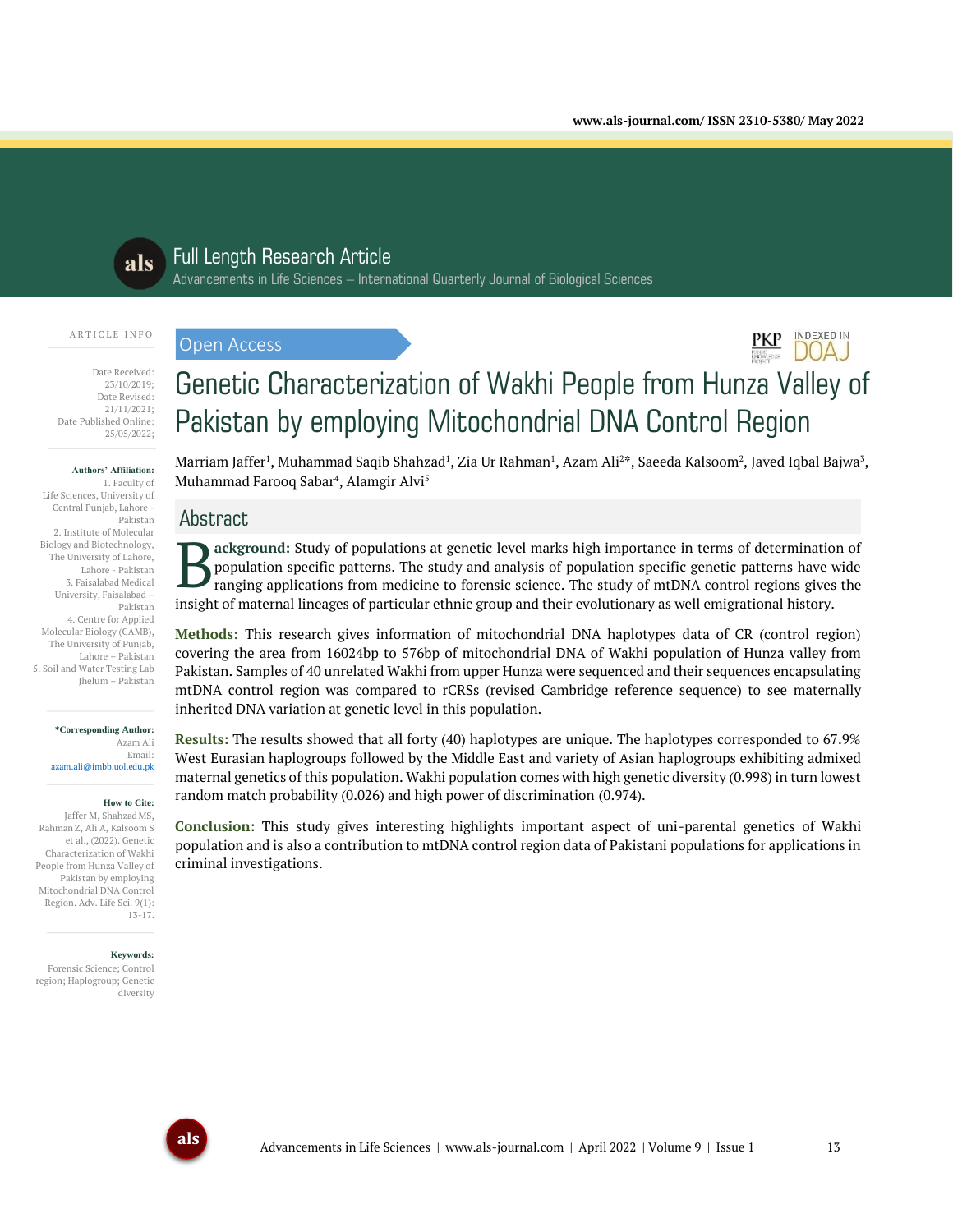**INDEXED IN** DOA.J



# Full Length Research Article

Advancements in Life Sciences – International Quarterly Journal of Biological Sciences

#### A R T I C L E I N F O

Date Received: 23/10/2019; Date Revised: 21/11/2021; Date Published Online: 25/05/2022;

#### **Authors' Affiliation:**

1. Faculty of Life Sciences, University of Central Punjab, Lahore - Pakistan 2. Institute of Molecular Biology and Biotechnology, The University of Lahore, Lahore - Pakistan 3. Faisalabad Medical University, Faisalabad – Pakistan 4. Centre for Applied Molecular Biology (CAMB), The University of Punjab, Lahore – Pakistan 5. Soil and Water Testing Lab Jhelum – Pakistan

> **\*Corresponding Author:** Azam Ali Email:

azam.ali@imbb.uol.edu.pk

#### **How to Cite:**

Jaffer M, Shahzad MS, RahmanZ, Ali A, Kalsoom S et al., (2022). Genetic Characterization of Wakhi People from Hunza Valley of Pakistan by employing Mitochondrial DNA Control Region. Adv. Life Sci. 9(1): 13-17.

#### **Keywords:**

Forensic Science; Control region; Haplogroup; Genetic diversity

# Genetic Characterization of Wakhi People from Hunza Valley of Pakistan by employing Mitochondrial DNA Control Region

Marriam Jaffer<sup>1</sup>, Muhammad Saqib Shahzad<sup>1</sup>, Zia Ur Rahman<sup>1</sup>, Azam Ali<sup>2</sup>\*, Saeeda Kalsoom<sup>2</sup>, Javed Iqbal Bajwa<sup>3</sup>, Muhammad Farooq Sabar<sup>4</sup>, Alamgir Alvi<sup>5</sup>

# Abstract

Open Access

**ackground:** Study of populations at genetic level marks high importance in terms of determination of population specific patterns. The study and analysis of population specific genetic patterns have wide ranging applications from medicine to forensic science. The study of mtDNA control regions gives the insight of maternal lineages of particular ethnic group and their evolutionary as well emigrational history. B

**Methods:** This research gives information of mitochondrial DNA haplotypes data of CR (control region) covering the area from 16024bp to 576bp of mitochondrial DNA of Wakhi population of Hunza valley from Pakistan. Samples of 40 unrelated Wakhi from upper Hunza were sequenced and their sequences encapsulating mtDNA control region was compared to rCRSs (revised Cambridge reference sequence) to see maternally inherited DNA variation at genetic level in this population.

**Results:** The results showed that all forty (40) haplotypes are unique. The haplotypes corresponded to 67.9% West Eurasian haplogroups followed by the Middle East and variety of Asian haplogroups exhibiting admixed maternal genetics of this population. Wakhi population comes with high genetic diversity (0.998) in turn lowest random match probability (0.026) and high power of discrimination (0.974).

**Conclusion:** This study gives interesting highlights important aspect of uni-parental genetics of Wakhi population and is also a contribution to mtDNA control region data of Pakistani populations for applications in criminal investigations.

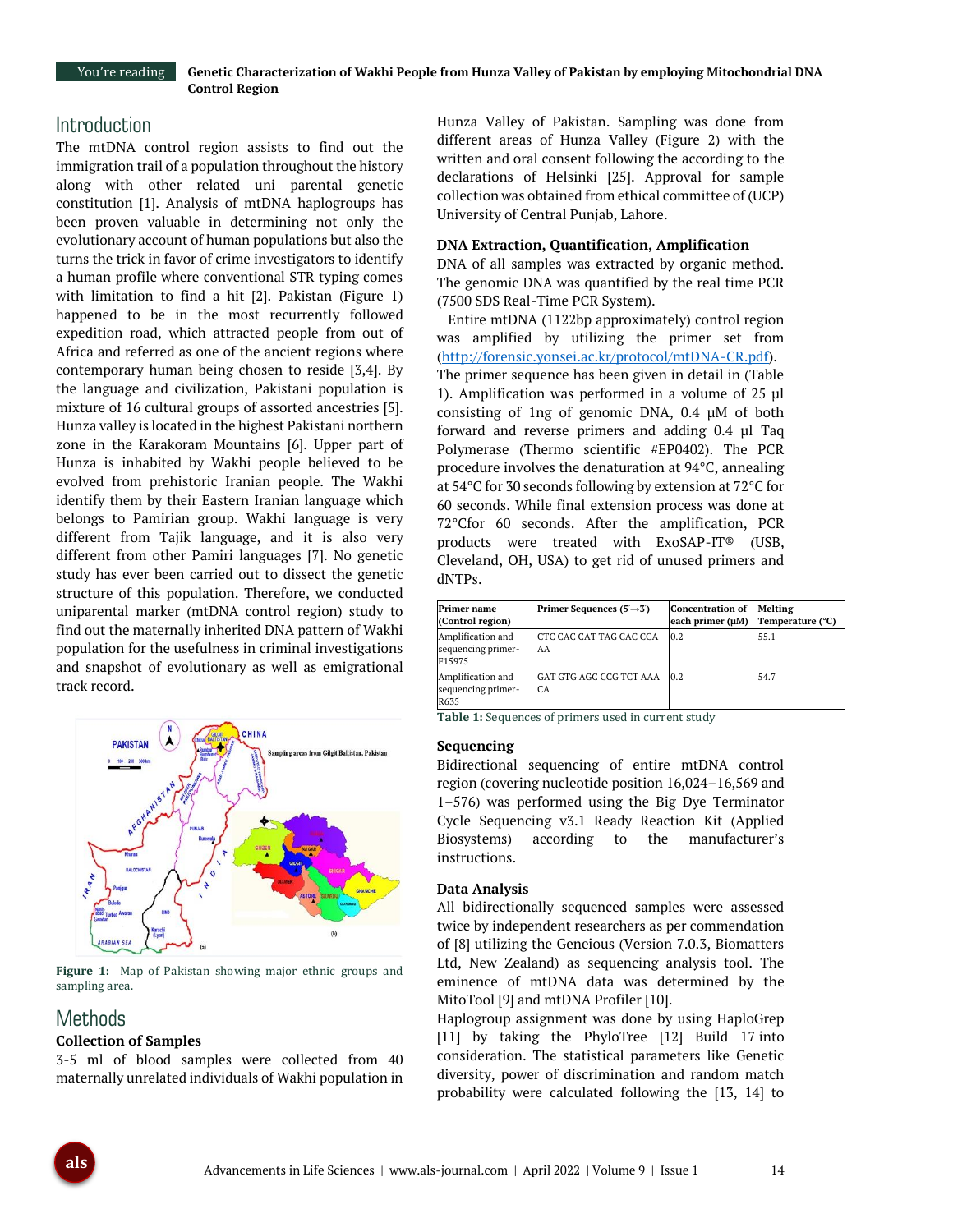## **Introduction**

The mtDNA control region assists to find out the immigration trail of a population throughout the history along with other related uni parental genetic constitution [1]. Analysis of mtDNA haplogroups has been proven valuable in determining not only the evolutionary account of human populations but also the turns the trick in favor of crime investigators to identify a human profile where conventional STR typing comes with limitation to find a hit [2]. Pakistan (Figure 1) happened to be in the most recurrently followed expedition road, which attracted people from out of Africa and referred as one of the ancient regions where contemporary human being chosen to reside [3,4]. By the language and civilization, Pakistani population is mixture of 16 cultural groups of assorted ancestries [5]. Hunza valley is located in the highest Pakistani northern zone in the Karakoram Mountains [6]. Upper part of Hunza is inhabited by Wakhi people believed to be evolved from prehistoric Iranian people. The Wakhi identify them by their Eastern Iranian language which belongs to Pamirian group. Wakhi language is very different from Tajik language, and it is also very different from other Pamiri languages [7]. No genetic study has ever been carried out to dissect the genetic structure of this population. Therefore, we conducted uniparental marker (mtDNA control region) study to find out the maternally inherited DNA pattern of Wakhi population for the usefulness in criminal investigations and snapshot of evolutionary as well as emigrational track record.



**Figure 1:** Map of Pakistan showing major ethnic groups and sampling area.

# Methods

## **Collection of Samples**

3-5 ml of blood samples were collected from 40 maternally unrelated individuals of Wakhi population in Hunza Valley of Pakistan. Sampling was done from different areas of Hunza Valley (Figure 2) with the written and oral consent following the according to the declarations of Helsinki [25]. Approval for sample collection was obtained from ethical committee of (UCP) University of Central Punjab, Lahore.

#### **DNA Extraction, Quantification, Amplification**

DNA of all samples was extracted by organic method. The genomic DNA was quantified by the real time PCR (7500 SDS Real-Time PCR System).

Entire mtDNA (1122bp approximately) control region was amplified by utilizing the primer set from [\(http://forensic.yonsei.ac.kr/protocol/mtDNA-CR.pdf\)](http://forensic.yonsei.ac.kr/protocol/mtDNA-CR.pdf). The primer sequence has been given in detail in (Table 1). Amplification was performed in a volume of 25 µl consisting of 1ng of genomic DNA, 0.4 μM of both forward and reverse primers and adding 0.4 µl Taq Polymerase (Thermo scientific #EP0402). The PCR procedure involves the denaturation at 94°C, annealing at 54°C for 30 seconds following by extension at 72°C for 60 seconds. While final extension process was done at 72°Cfor 60 seconds. After the amplification, PCR products were treated with ExoSAP-IT® (USB, Cleveland, OH, USA) to get rid of unused primers and dNTPs.

| Primer name<br>(Control region)                   | Primer Sequences $(5 \rightarrow 3')$ | <b>Concentration of</b><br>each primer (µM) | Melting<br>Temperature (°C) |
|---------------------------------------------------|---------------------------------------|---------------------------------------------|-----------------------------|
| Amplification and<br>sequencing primer-<br>F15975 | CTC CAC CAT TAG CAC CCA<br>AA         | 0.2                                         | 55.1                        |
| Amplification and<br>sequencing primer-<br>R635   | GAT GTG AGC CCG TCT AAA<br>CA         | 0.2                                         | 54.7                        |

**Table 1:** Sequences of primers used in current study

#### **Sequencing**

Bidirectional sequencing of entire mtDNA control region (covering nucleotide position 16,024–16,569 and 1–576) was performed using the Big Dye Terminator Cycle Sequencing v3.1 Ready Reaction Kit (Applied Biosystems) according to the manufacturer's instructions.

#### **Data Analysis**

All bidirectionally sequenced samples were assessed twice by independent researchers as per commendation of [8] utilizing the Geneious (Version 7.0.3, Biomatters Ltd, New Zealand) as sequencing analysis tool. The eminence of mtDNA data was determined by the MitoTool [9] and mtDNA Profiler [10].

Haplogroup assignment was done by using HaploGrep [11] by taking the PhyloTree [12] Build 17 into consideration. The statistical parameters like Genetic diversity, power of discrimination and random match probability were calculated following the [13, 14] to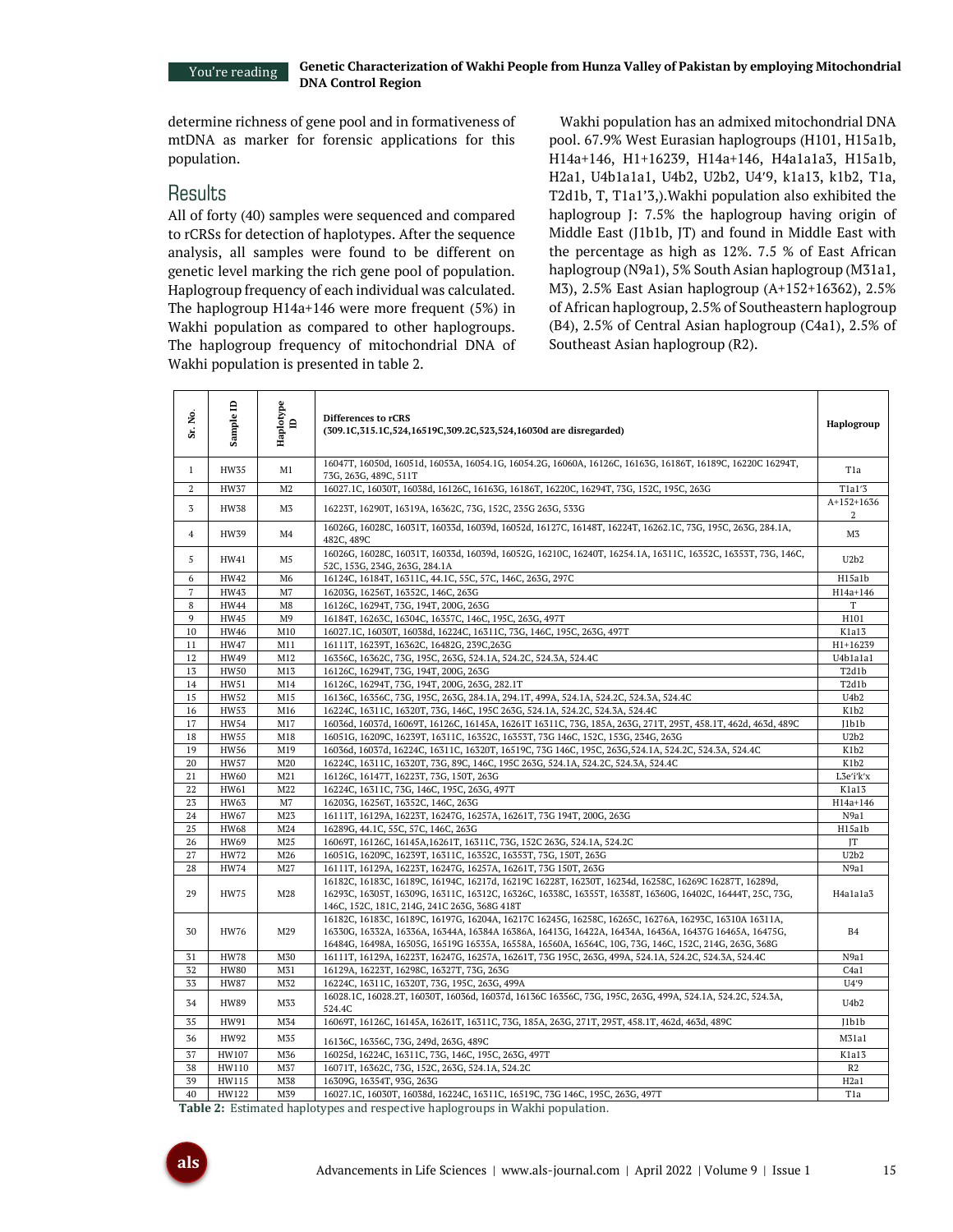determine richness of gene pool and in formativeness of mtDNA as marker for forensic applications for this population.

## Results

All of forty (40) samples were sequenced and compared to rCRSs for detection of haplotypes. After the sequence analysis, all samples were found to be different on genetic level marking the rich gene pool of population. Haplogroup frequency of each individual was calculated. The haplogroup H14a+146 were more frequent (5%) in Wakhi population as compared to other haplogroups. The haplogroup frequency of mitochondrial DNA of Wakhi population is presented in table 2.

Wakhi population has an admixed mitochondrial DNA pool. 67.9% West Eurasian haplogroups (H101, H15a1b, H14a+146, H1+16239, H14a+146, H4a1a1a3, H15a1b, H2a1, U4b1a1a1, U4b2, U2b2, U49, k1a13, k1b2, T1a, T2d1b, T, T1a1'3,).Wakhi population also exhibited the haplogroup J: 7.5% the haplogroup having origin of Middle East (J1b1b, JT) and found in Middle East with the percentage as high as 12%. 7.5 % of East African haplogroup (N9a1), 5% South Asian haplogroup (M31a1, M3), 2.5% East Asian haplogroup (A+152+16362), 2.5% of African haplogroup, 2.5% of Southeastern haplogroup (B4), 2.5% of Central Asian haplogroup (C4a1), 2.5% of Southeast Asian haplogroup (R2).

| Σó,<br>ä       | Sample ID   | Haplotype<br>ID | Differences to rCRS<br>(309.1C, 315.1C, 524, 16519C, 309.2C, 523, 524, 16030d are disregarded)                                                                                                                                                                                                                          |                  |
|----------------|-------------|-----------------|-------------------------------------------------------------------------------------------------------------------------------------------------------------------------------------------------------------------------------------------------------------------------------------------------------------------------|------------------|
| $\mathbf{1}$   | <b>HW35</b> | M1              | 16047T, 16050d, 16051d, 16053A, 16054.1G, 16054.2G, 16060A, 16126C, 16163G, 16186T, 16189C, 16220C 16294T,<br>73G, 263G, 489C, 511T                                                                                                                                                                                     |                  |
| 2              | <b>HW37</b> | M <sub>2</sub>  | 16027.1C, 16030T, 16038d, 16126C, 16163G, 16186T, 16220C, 16294T, 73G, 152C, 195C, 263G                                                                                                                                                                                                                                 |                  |
| 3              | <b>HW38</b> | M <sub>3</sub>  | 16223T, 16290T, 16319A, 16362C, 73G, 152C, 235G 263G, 533G                                                                                                                                                                                                                                                              |                  |
| $\overline{4}$ | HW39        | M4              | 16026G, 16028C, 16031T, 16033d, 16039d, 16052d, 16127C, 16148T, 16224T, 16262.1C, 73G, 195C, 263G, 284.1A,<br>482C, 489C                                                                                                                                                                                                |                  |
| 5              | HW41        | M <sub>5</sub>  | 16026G, 16028C, 16031T, 16033d, 16039d, 16052G, 16210C, 16240T, 16254.1A, 16311C, 16352C, 16353T, 73G, 146C,<br>U2b2<br>52C, 153G, 234G, 263G, 284.1A                                                                                                                                                                   |                  |
| 6              | HW42        | M <sub>6</sub>  | 16124C, 16184T, 16311C, 44.1C, 55C, 57C, 146C, 263G, 297C<br>H15a1b                                                                                                                                                                                                                                                     |                  |
| $\overline{7}$ | <b>HW43</b> | M <sub>7</sub>  | 16203G, 16256T, 16352C, 146C, 263G<br>H14a+146                                                                                                                                                                                                                                                                          |                  |
| 8              | <b>HW44</b> | M8              | 16126C, 16294T, 73G, 194T, 200G, 263G                                                                                                                                                                                                                                                                                   |                  |
| 9              | <b>HW45</b> | M <sup>9</sup>  | 16184T, 16263C, 16304C, 16357C, 146C, 195C, 263G, 497T                                                                                                                                                                                                                                                                  |                  |
| 10             | <b>HW46</b> | M10             | 16027.1C, 16030T, 16038d, 16224C, 16311C, 73G, 146C, 195C, 263G, 497T                                                                                                                                                                                                                                                   |                  |
| 11             | <b>HW47</b> | M11             | 16111T, 16239T, 16362C, 16482G, 239C, 263G                                                                                                                                                                                                                                                                              | H1+16239         |
| 12             | <b>HW49</b> | M12             | 16356C, 16362C, 73G, 195C, 263G, 524.1A, 524.2C, 524.3A, 524.4C                                                                                                                                                                                                                                                         |                  |
| 13             | <b>HW50</b> | M13             | 16126C, 16294T, 73G, 194T, 200G, 263G                                                                                                                                                                                                                                                                                   |                  |
| 14             | HW51        | M14             | 16126C, 16294T, 73G, 194T, 200G, 263G, 282.1T                                                                                                                                                                                                                                                                           |                  |
| 15             | HW52        | M15             | 16136C, 16356C, 73G, 195C, 263G, 284.1A, 294.1T, 499A, 524.1A, 524.2C, 524.3A, 524.4C                                                                                                                                                                                                                                   |                  |
| 16             | <b>HW53</b> | M16             | 16224C, 16311C, 16320T, 73G, 146C, 195C 263G, 524.1A, 524.2C, 524.3A, 524.4C                                                                                                                                                                                                                                            |                  |
| 17             | <b>HW54</b> | M17             | 16036d, 16037d, 16069T, 16126C, 16145A, 16261T 16311C, 73G, 185A, 263G, 271T, 295T, 458.1T, 462d, 463d, 489C                                                                                                                                                                                                            |                  |
| 18             | <b>HW55</b> | M18             | 16051G, 16209C, 16239T, 16311C, 16352C, 16353T, 73G 146C, 152C, 153G, 234G, 263G                                                                                                                                                                                                                                        |                  |
| 19             | <b>HW56</b> | M19             | 16036d, 16037d, 16224C, 16311C, 16320T, 16519C, 73G 146C, 195C, 263G, 524.1A, 524.2C, 524.3A, 524.4C                                                                                                                                                                                                                    |                  |
| 20             | <b>HW57</b> | M20             | 16224C, 16311C, 16320T, 73G, 89C, 146C, 195C 263G, 524.1A, 524.2C, 524.3A, 524.4C                                                                                                                                                                                                                                       |                  |
| 21             | <b>HW60</b> | M <sub>21</sub> | 16126C, 16147T, 16223T, 73G, 150T, 263G                                                                                                                                                                                                                                                                                 | L3e'i'k'x        |
| 22             | HW61        | M22             | 16224C, 16311C, 73G, 146C, 195C, 263G, 497T                                                                                                                                                                                                                                                                             | K1a13            |
| 23             | <b>HW63</b> | M7              | 16203G, 16256T, 16352C, 146C, 263G                                                                                                                                                                                                                                                                                      | H14a+146         |
| $\sqrt{24}$    | HW67        | M23             | 16111T, 16129A, 16223T, 16247G, 16257A, 16261T, 73G 194T, 200G, 263G                                                                                                                                                                                                                                                    | N9a1             |
| 25             | <b>HW68</b> | M24             | 16289G, 44.1C, 55C, 57C, 146C, 263G                                                                                                                                                                                                                                                                                     | H15a1b           |
| 26             | HW69        | M25             | 16069T, 16126C, 16145A, 16261T, 16311C, 73G, 152C 263G, 524.1A, 524.2C                                                                                                                                                                                                                                                  | IT               |
| 27             | HW72        | M26             | 16051G, 16209C, 16239T, 16311C, 16352C, 16353T, 73G, 150T, 263G                                                                                                                                                                                                                                                         | U2b2             |
| 28             | <b>HW74</b> | M27             | 16111T, 16129A, 16223T, 16247G, 16257A, 16261T, 73G 150T, 263G                                                                                                                                                                                                                                                          | N9a1             |
| 29             | <b>HW75</b> | M28             | 16182C, 16183C, 16189C, 16194C, 16217d, 16219C 16228T, 16230T, 16234d, 16258C, 16269C 16287T, 16289d,<br>16293C, 16305T, 16309G, 16311C, 16312C, 16326C, 16338C, 16355T, 16358T, 16360G, 16402C, 16444T, 25C, 73G,<br>146C, 152C, 181C, 214G, 241C 263G, 368G 418T                                                      |                  |
| 30             | <b>HW76</b> | M29             | 16182C, 16183C, 16189C, 16197G, 16204A, 16217C 16245G, 16258C, 16265C, 16276A, 16293C, 16310A 16311A,<br>16330G, 16332A, 16336A, 16344A, 16384A 16386A, 16413G, 16422A, 16434A, 16436A, 16437G 16465A, 16475G,<br>16484G, 16498A, 16505G, 16519G 16535A, 16558A, 16560A, 16564C, 10G, 73G, 146C, 152C, 214G, 263G, 368G | B4               |
| 31             | <b>HW78</b> | M30             | 16111T, 16129A, 16223T, 16247G, 16257A, 16261T, 73G 195C, 263G, 499A, 524.1A, 524.2C, 524.3A, 524.4C                                                                                                                                                                                                                    | N9a1             |
| 32             | <b>HW80</b> | M31             | 16129A, 16223T, 16298C, 16327T, 73G, 263G                                                                                                                                                                                                                                                                               | C4a1             |
| 33             | <b>HW87</b> | M32             | 16224C, 16311C, 16320T, 73G, 195C, 263G, 499A                                                                                                                                                                                                                                                                           | U4'9             |
| 34             | <b>HW89</b> | M33             | 16028.1C, 16028.2T, 16030T, 16036d, 16037d, 16136C 16356C, 73G, 195C, 263G, 499A, 524.1A, 524.2C, 524.3A,<br>U4b2<br>524.4C                                                                                                                                                                                             |                  |
| 35             | HW91        | M34             | 16069T, 16126C, 16145A, 16261T, 16311C, 73G, 185A, 263G, 271T, 295T, 458.1T, 462d, 463d, 489C                                                                                                                                                                                                                           | I1b1b            |
| 36             | HW92        | M35             | 16136C, 16356C, 73G, 249d, 263G, 489C                                                                                                                                                                                                                                                                                   | M31a1            |
| 37             | HW107       | M36             | 16025d, 16224C, 16311C, 73G, 146C, 195C, 263G, 497T<br>K1a13                                                                                                                                                                                                                                                            |                  |
| 38             | HW110       | M37             | 16071T, 16362C, 73G, 152C, 263G, 524.1A, 524.2C                                                                                                                                                                                                                                                                         |                  |
| 39             | HW115       | M38             | 16309G, 16354T, 93G, 263G                                                                                                                                                                                                                                                                                               | H2a1             |
| 40             | HW122       | M39             | 16027.1C, 16030T, 16038d, 16224C, 16311C, 16519C, 73G 146C, 195C, 263G, 497T                                                                                                                                                                                                                                            | T <sub>1</sub> a |

**Table 2:** Estimated haplotypes and respective haplogroups in Wakhi population.

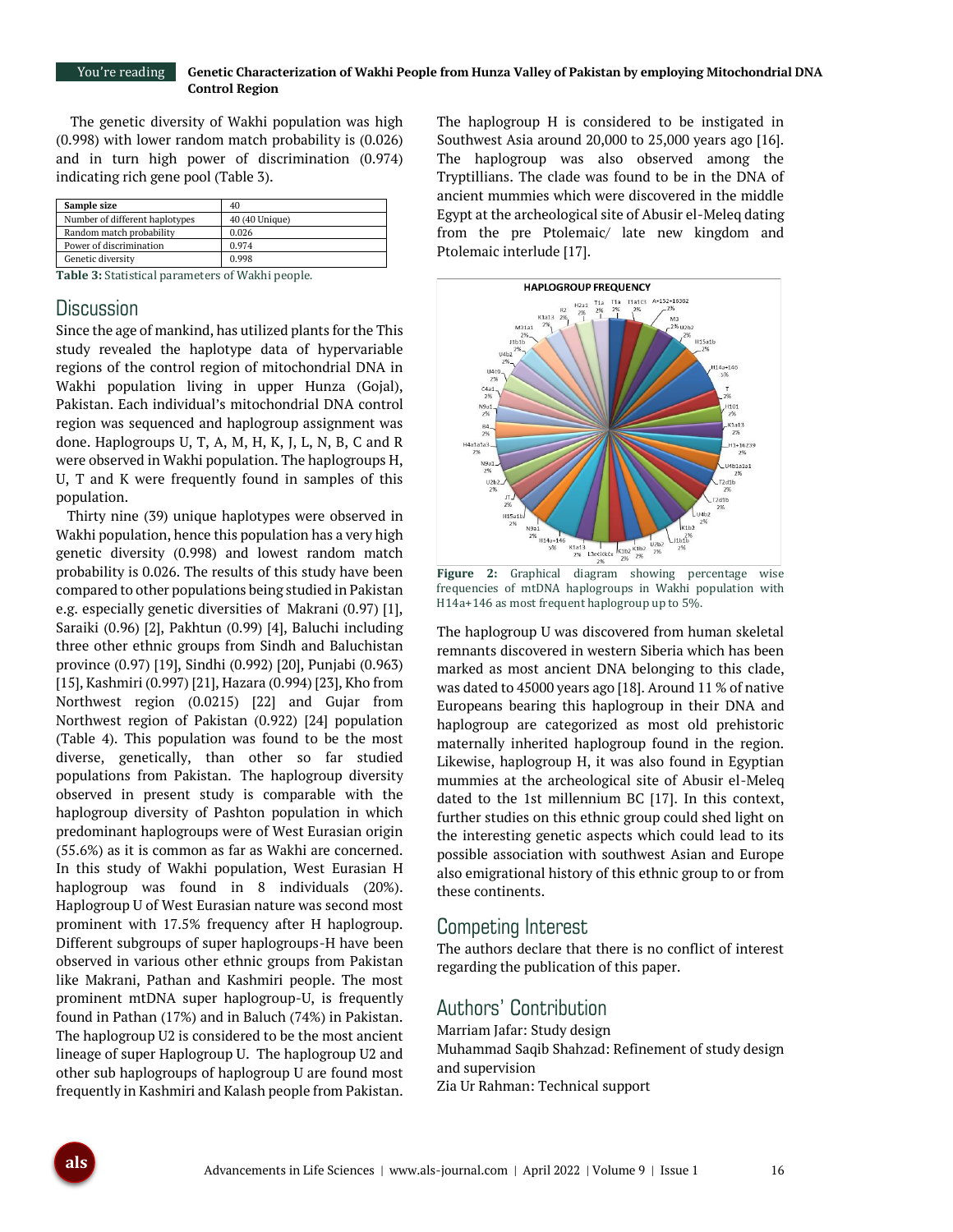#### **Genetic Characterization of Wakhi People from Hunza Valley of Pakistan by employing Mitochondrial DNA Control Region** You're reading

The genetic diversity of Wakhi population was high (0.998) with lower random match probability is (0.026) and in turn high power of discrimination (0.974) indicating rich gene pool (Table 3).

| Sample size                    | 40             |  |
|--------------------------------|----------------|--|
| Number of different haplotypes | 40 (40 Unique) |  |
| Random match probability       | 0.026          |  |
| Power of discrimination        | 0.974          |  |
| Genetic diversity              | 0.998          |  |

**Table 3:** Statistical parameters of Wakhi people.

## **Discussion**

Since the age of mankind, has utilized plants for the This study revealed the haplotype data of hypervariable regions of the control region of mitochondrial DNA in Wakhi population living in upper Hunza (Gojal), Pakistan. Each individual's mitochondrial DNA control region was sequenced and haplogroup assignment was done. Haplogroups U, T, A, M, H, K, J, L, N, B, C and R were observed in Wakhi population. The haplogroups H, U, T and K were frequently found in samples of this population.

Thirty nine (39) unique haplotypes were observed in Wakhi population, hence this population has a very high genetic diversity (0.998) and lowest random match probability is 0.026. The results of this study have been compared to other populations being studied in Pakistan e.g. especially genetic diversities of Makrani (0.97) [1], Saraiki (0.96) [2], Pakhtun (0.99) [4], Baluchi including three other ethnic groups from Sindh and Baluchistan province (0.97) [19], Sindhi (0.992) [20], Punjabi (0.963) [15], Kashmiri (0.997) [21], Hazara (0.994) [23], Kho from Northwest region (0.0215) [22] and Gujar from Northwest region of Pakistan (0.922) [24] population (Table 4). This population was found to be the most diverse, genetically, than other so far studied populations from Pakistan. The haplogroup diversity observed in present study is comparable with the haplogroup diversity of Pashton population in which predominant haplogroups were of West Eurasian origin (55.6%) as it is common as far as Wakhi are concerned. In this study of Wakhi population, West Eurasian H haplogroup was found in 8 individuals (20%). Haplogroup U of West Eurasian nature was second most prominent with 17.5% frequency after H haplogroup. Different subgroups of super haplogroups-H have been observed in various other ethnic groups from Pakistan like Makrani, Pathan and Kashmiri people. The most prominent mtDNA super haplogroup-U, is frequently found in Pathan (17%) and in Baluch (74%) in Pakistan. The haplogroup U2 is considered to be the most ancient lineage of super Haplogroup U. The haplogroup U2 and other sub haplogroups of haplogroup U are found most frequently in Kashmiri and Kalash people from Pakistan.

The haplogroup H is considered to be instigated in Southwest Asia around 20,000 to 25,000 years ago [16]. The haplogroup was also observed among the Tryptillians. The clade was found to be in the DNA of ancient mummies which were discovered in the middle Egypt at the archeological site of Abusir el-Meleq dating from the pre Ptolemaic/ late new kingdom and Ptolemaic interlude [17].



**Figure 2:** Graphical diagram showing percentage wise frequencies of mtDNA haplogroups in Wakhi population with H14a+146 as most frequent haplogroup up to 5%.

The haplogroup U was discovered from human skeletal remnants discovered in western Siberia which has been marked as most ancient DNA belonging to this clade, was dated to 45000 years ago [18]. Around 11 % of native Europeans bearing this haplogroup in their DNA and haplogroup are categorized as most old prehistoric maternally inherited haplogroup found in the region. Likewise, haplogroup H, it was also found in Egyptian mummies at the archeological site of Abusir el-Meleq dated to the 1st millennium BC [17]. In this context, further studies on this ethnic group could shed light on the interesting genetic aspects which could lead to its possible association with southwest Asian and Europe also emigrational history of this ethnic group to or from these continents.

### Competing Interest

The authors declare that there is no conflict of interest regarding the publication of this paper.

## Authors' Contribution

Marriam Jafar: Study design Muhammad Saqib Shahzad: Refinement of study design and supervision Zia Ur Rahman: Technical support